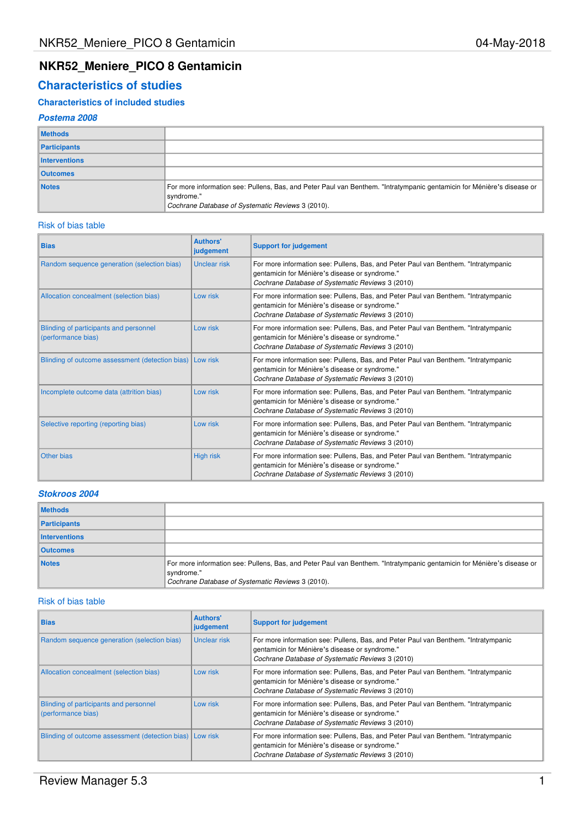# **NKR52\_Meniere\_PICO 8 Gentamicin**

# **Characteristics of studies**

# **Characteristics of included studies**

# **Postema 2008**

| <b>Methods</b>       |                                                                                                                                                                                           |
|----------------------|-------------------------------------------------------------------------------------------------------------------------------------------------------------------------------------------|
| Participants         |                                                                                                                                                                                           |
| <b>Interventions</b> |                                                                                                                                                                                           |
| <b>Outcomes</b>      |                                                                                                                                                                                           |
| <b>Notes</b>         | For more information see: Pullens, Bas, and Peter Paul van Benthem. "Intratympanic gentamicin for Ménière's disease or<br>syndrome."<br>Cochrane Database of Systematic Reviews 3 (2010). |

### Risk of bias table

| <b>Bias</b>                                                  | <b>Authors'</b><br>judgement | <b>Support for judgement</b>                                                                                                                                                             |
|--------------------------------------------------------------|------------------------------|------------------------------------------------------------------------------------------------------------------------------------------------------------------------------------------|
| Random sequence generation (selection bias)                  | Unclear risk                 | For more information see: Pullens, Bas, and Peter Paul van Benthem. "Intratympanic<br>gentamicin for Ménière's disease or syndrome."<br>Cochrane Database of Systematic Reviews 3 (2010) |
| Allocation concealment (selection bias)                      | Low risk                     | For more information see: Pullens, Bas, and Peter Paul van Benthem. "Intratympanic<br>gentamicin for Ménière's disease or syndrome."<br>Cochrane Database of Systematic Reviews 3 (2010) |
| Blinding of participants and personnel<br>(performance bias) | Low risk                     | For more information see: Pullens, Bas, and Peter Paul van Benthem. "Intratympanic<br>gentamicin for Ménière's disease or syndrome."<br>Cochrane Database of Systematic Reviews 3 (2010) |
| Blinding of outcome assessment (detection bias)   Low risk   |                              | For more information see: Pullens, Bas, and Peter Paul van Benthem. "Intratympanic<br>gentamicin for Ménière's disease or syndrome."<br>Cochrane Database of Systematic Reviews 3 (2010) |
| Incomplete outcome data (attrition bias)                     | Low risk                     | For more information see: Pullens, Bas, and Peter Paul van Benthem. "Intratympanic<br>gentamicin for Ménière's disease or syndrome."<br>Cochrane Database of Systematic Reviews 3 (2010) |
| Selective reporting (reporting bias)                         | Low risk                     | For more information see: Pullens, Bas, and Peter Paul van Benthem. "Intratympanic<br>gentamicin for Ménière's disease or syndrome."<br>Cochrane Database of Systematic Reviews 3 (2010) |
| Other bias                                                   | High risk                    | For more information see: Pullens, Bas, and Peter Paul van Benthem. "Intratympanic<br>gentamicin for Ménière's disease or syndrome."<br>Cochrane Database of Systematic Reviews 3 (2010) |

## **Stokroos 2004**

| <b>Methods</b>       |                                                                                                                                                                                           |
|----------------------|-------------------------------------------------------------------------------------------------------------------------------------------------------------------------------------------|
| Participants         |                                                                                                                                                                                           |
| <b>Interventions</b> |                                                                                                                                                                                           |
| <b>Outcomes</b>      |                                                                                                                                                                                           |
| <b>Notes</b>         | For more information see: Pullens, Bas, and Peter Paul van Benthem. "Intratympanic gentamicin for Ménière's disease or<br>syndrome."<br>Cochrane Database of Systematic Reviews 3 (2010). |

### Risk of bias table

| <b>Bias</b>                                                  | <b>Authors'</b><br>judgement | <b>Support for judgement</b>                                                                                                                                                              |  |  |  |
|--------------------------------------------------------------|------------------------------|-------------------------------------------------------------------------------------------------------------------------------------------------------------------------------------------|--|--|--|
| Random sequence generation (selection bias)                  | <b>Unclear risk</b>          | For more information see: Pullens, Bas, and Peter Paul van Benthem. "Intratympanic"<br>gentamicin for Ménière's disease or syndrome."<br>Cochrane Database of Systematic Reviews 3 (2010) |  |  |  |
| Allocation concealment (selection bias)                      | Low risk                     | For more information see: Pullens, Bas, and Peter Paul van Benthem. "Intratympanic"<br>gentamicin for Ménière's disease or syndrome."<br>Cochrane Database of Systematic Reviews 3 (2010) |  |  |  |
| Blinding of participants and personnel<br>(performance bias) | Low risk                     | For more information see: Pullens, Bas, and Peter Paul van Benthem. "Intratympanic"<br>gentamicin for Ménière's disease or syndrome."<br>Cochrane Database of Systematic Reviews 3 (2010) |  |  |  |
| Blinding of outcome assessment (detection bias) Low risk     |                              | For more information see: Pullens, Bas, and Peter Paul van Benthem. "Intratympanic"<br>gentamicin for Ménière's disease or syndrome."<br>Cochrane Database of Systematic Reviews 3 (2010) |  |  |  |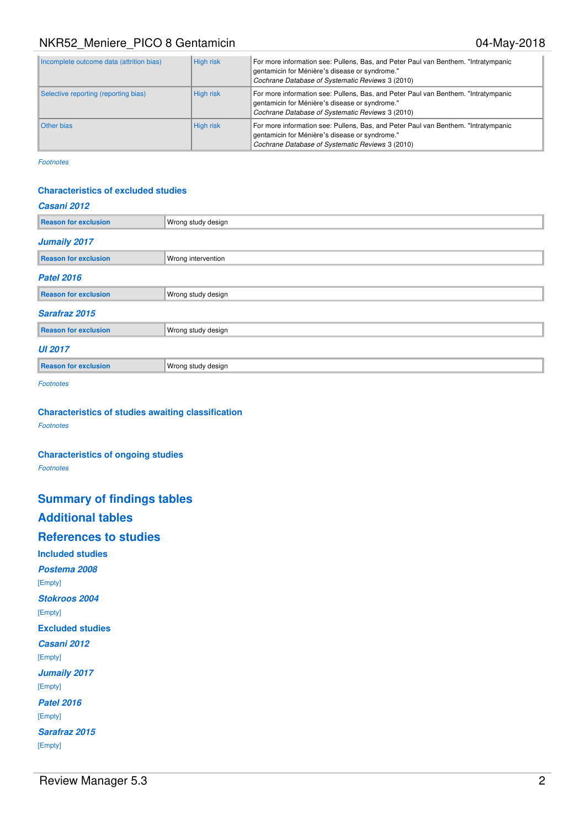| Incomplete outcome data (attrition bias) | High risk        | For more information see: Pullens, Bas, and Peter Paul van Benthem. "Intratympanic"<br>gentamicin for Ménière's disease or syndrome."<br>Cochrane Database of Systematic Reviews 3 (2010) |  |  |  |  |
|------------------------------------------|------------------|-------------------------------------------------------------------------------------------------------------------------------------------------------------------------------------------|--|--|--|--|
| Selective reporting (reporting bias)     | High risk        | For more information see: Pullens, Bas, and Peter Paul van Benthem. "Intratympanic<br>gentamicin for Ménière's disease or syndrome."<br>Cochrane Database of Systematic Reviews 3 (2010)  |  |  |  |  |
| <b>Other bias</b>                        | <b>High risk</b> | For more information see: Pullens, Bas, and Peter Paul van Benthem. "Intratympanic"<br>gentamicin for Ménière's disease or syndrome."<br>Cochrane Database of Systematic Reviews 3 (2010) |  |  |  |  |

Footnotes

## **Characteristics of excluded studies**

### **Casani 2012**

| <b>Reason for exclusion</b> | Wrong study design |  |  |  |  |  |  |  |
|-----------------------------|--------------------|--|--|--|--|--|--|--|
| <b>Jumaily 2017</b>         |                    |  |  |  |  |  |  |  |
| <b>Reason for exclusion</b> | Wrong intervention |  |  |  |  |  |  |  |
| <b>Patel 2016</b>           |                    |  |  |  |  |  |  |  |
| <b>Reason for exclusion</b> | Wrong study design |  |  |  |  |  |  |  |
| Sarafraz 2015               |                    |  |  |  |  |  |  |  |
| <b>Reason for exclusion</b> | Wrong study design |  |  |  |  |  |  |  |
| <b>UI 2017</b>              |                    |  |  |  |  |  |  |  |
| <b>Reason for exclusion</b> | Wrong study design |  |  |  |  |  |  |  |
|                             |                    |  |  |  |  |  |  |  |

Footnotes

# **Characteristics of studies awaiting classification**

Footnotes

### **Characteristics of ongoing studies**

Footnotes

# **Summary of findings tables**

# **Additional tables**

# **References to studies**

**Included studies Postema 2008** [Empty] **Stokroos 2004** [Empty] **Excluded studies Casani 2012** [Empty] **Jumaily 2017** [Empty] **Patel 2016** [Empty] **Sarafraz 2015** [Empty]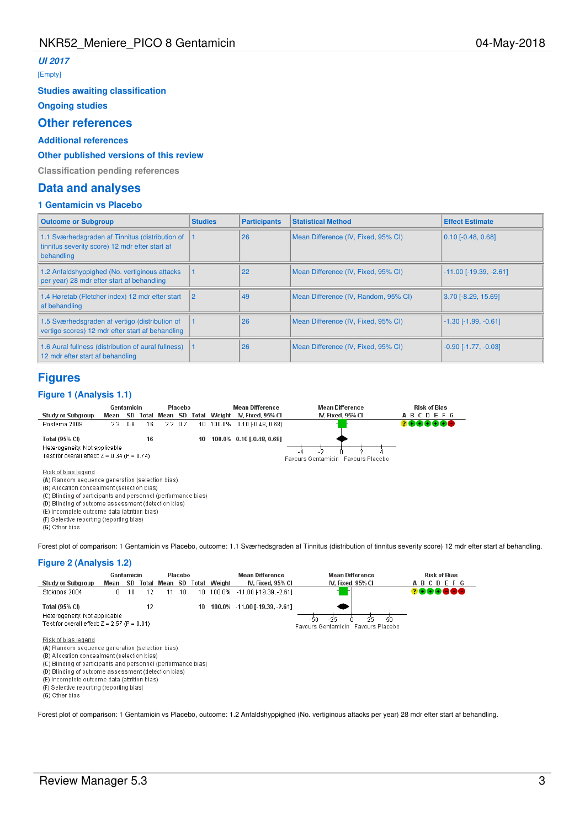### **UI 2017**

[Empty]

**Studies awaiting classification**

**Ongoing studies**

# **Other references**

### **Additional references**

### **Other published versions of this review**

**Classification pending references**

# **Data and analyses**

#### **1 Gentamicin vs Placebo**

| <b>Outcome or Subgroup</b>                                                                                      | <b>Studies</b> | <b>Participants</b> | <b>Statistical Method</b>            | <b>Effect Estimate</b>          |
|-----------------------------------------------------------------------------------------------------------------|----------------|---------------------|--------------------------------------|---------------------------------|
| 1.1 Sværhedsgraden af Tinnitus (distribution of<br>tinnitus severity score) 12 mdr efter start af<br>behandling |                | 26                  | Mean Difference (IV, Fixed, 95% CI)  | $\vert$ 0.10 [-0.48, 0.68]      |
| 1.2 Anfaldshyppighed (No. vertiginous attacks)<br>per year) 28 mdr efter start af behandling                    |                | 22                  | Mean Difference (IV, Fixed, 95% CI)  | $-11.00$ [ $-19.39$ , $-2.61$ ] |
| 1.4 Høretab (Fletcher index) 12 mdr efter start<br>af behandling                                                | $\overline{2}$ | 49                  | Mean Difference (IV, Random, 95% CI) | 3.70 [-8.29, 15.69]             |
| 1.5 Sværhedsgraden af vertigo (distribution of<br>vertigo scores) 12 mdr efter start af behandling              |                | 26                  | Mean Difference (IV, Fixed, 95% CI)  | $-1.30$ $[-1.99, -0.61]$        |
| 1.6 Aural fullness (distribution of aural fullness)<br>12 mdr efter start af behandling                         |                | 26                  | Mean Difference (IV, Fixed, 95% CI)  | $-0.90$ [ $-1.77, -0.03$ ]      |

# **Figures**

#### **Figure 1 (Analysis 1.1)**



(B) Allocation concealment (selection bias)

(C) Blinding of participants and personnel (performance bias)

(D) Blinding of outcome assessment (detection bias)

(E) Incomplete outcome data (attrition bias)

(F) Selective reporting (reporting bias)

(G) Other bias

Forest plot of comparison: 1 Gentamicin vs Placebo, outcome: 1.1 Sværhedsgraden af Tinnitus (distribution of tinnitus severity score) 12 mdr efter start af behandling.

### **Figure 2 (Analysis 1.2)**



(C) Blinding of participants and personnel (performance bias)

(D) Blinding of outcome assessment (detection bias)

(E) Incomplete outcome data (attrition bias)

(F) Selective reporting (reporting bias)

(G) Other bias

Forest plot of comparison: 1 Gentamicin vs Placebo, outcome: 1.2 Anfaldshyppighed (No. vertiginous attacks per year) 28 mdr efter start af behandling.